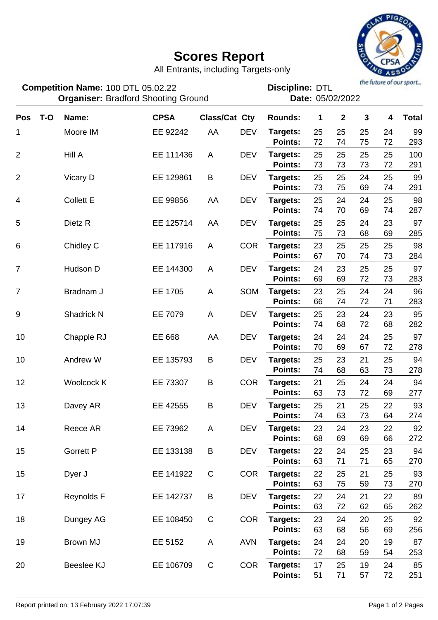## **Scores Report**



All Entrants, including Targets-only

the future of our sport...

| Competition Name: 100 DTL 05.02.22<br><b>Organiser: Bradford Shooting Ground</b> |       |                  |             |                      | the future of our sport<br><b>Discipline: DTL</b><br>Date: 05/02/2022 |                            |          |              |          |          |              |
|----------------------------------------------------------------------------------|-------|------------------|-------------|----------------------|-----------------------------------------------------------------------|----------------------------|----------|--------------|----------|----------|--------------|
| Pos                                                                              | $T-O$ | Name:            | <b>CPSA</b> | <b>Class/Cat Cty</b> |                                                                       | <b>Rounds:</b>             | 1        | $\mathbf{2}$ | 3        | 4        | <b>Total</b> |
| 1                                                                                |       | Moore IM         | EE 92242    | AA                   | <b>DEV</b>                                                            | Targets:<br><b>Points:</b> | 25<br>72 | 25<br>74     | 25<br>75 | 24<br>72 | 99<br>293    |
| $\overline{2}$                                                                   |       | Hill A           | EE 111436   | A                    | <b>DEV</b>                                                            | Targets:<br>Points:        | 25<br>73 | 25<br>73     | 25<br>73 | 25<br>72 | 100<br>291   |
| $\overline{2}$                                                                   |       | Vicary D         | EE 129861   | B                    | <b>DEV</b>                                                            | Targets:<br><b>Points:</b> | 25<br>73 | 25<br>75     | 24<br>69 | 25<br>74 | 99<br>291    |
| 4                                                                                |       | <b>Collett E</b> | EE 99856    | AA                   | <b>DEV</b>                                                            | Targets:<br><b>Points:</b> | 25<br>74 | 24<br>70     | 24<br>69 | 25<br>74 | 98<br>287    |
| 5                                                                                |       | Dietz R          | EE 125714   | AA                   | <b>DEV</b>                                                            | Targets:<br><b>Points:</b> | 25<br>75 | 25<br>73     | 24<br>68 | 23<br>69 | 97<br>285    |
| 6                                                                                |       | Chidley C        | EE 117916   | A                    | <b>COR</b>                                                            | Targets:<br><b>Points:</b> | 23<br>67 | 25<br>70     | 25<br>74 | 25<br>73 | 98<br>284    |
| $\overline{7}$                                                                   |       | Hudson D         | EE 144300   | A                    | <b>DEV</b>                                                            | Targets:<br><b>Points:</b> | 24<br>69 | 23<br>69     | 25<br>72 | 25<br>73 | 97<br>283    |
| 7                                                                                |       | Bradnam J        | EE 1705     | A                    | SOM                                                                   | Targets:<br><b>Points:</b> | 23<br>66 | 25<br>74     | 24<br>72 | 24<br>71 | 96<br>283    |
| 9                                                                                |       | Shadrick N       | EE 7079     | A                    | <b>DEV</b>                                                            | Targets:<br><b>Points:</b> | 25<br>74 | 23<br>68     | 24<br>72 | 23<br>68 | 95<br>282    |
| 10                                                                               |       | Chapple RJ       | EE 668      | AA                   | <b>DEV</b>                                                            | Targets:<br><b>Points:</b> | 24<br>70 | 24<br>69     | 24<br>67 | 25<br>72 | 97<br>278    |
| 10                                                                               |       | Andrew W         | EE 135793   | B                    | <b>DEV</b>                                                            | Targets:<br><b>Points:</b> | 25<br>74 | 23<br>68     | 21<br>63 | 25<br>73 | 94<br>278    |
| 12                                                                               |       | Woolcock K       | EE 73307    | B                    | <b>COR</b>                                                            | Targets:<br><b>Points:</b> | 21<br>63 | 25<br>73     | 24<br>72 | 24<br>69 | 94<br>277    |
| 13                                                                               |       | Davey AR         | EE 42555    | B                    | <b>DEV</b>                                                            | Targets:<br>Points:        | 25<br>74 | 21<br>63     | 25<br>73 | 22<br>64 | 93<br>274    |
| 14                                                                               |       | Reece AR         | EE 73962    | A                    | <b>DEV</b>                                                            | Targets:<br>Points:        | 23<br>68 | 24<br>69     | 23<br>69 | 22<br>66 | 92<br>272    |
| 15                                                                               |       | <b>Gorrett P</b> | EE 133138   | B                    | <b>DEV</b>                                                            | Targets:<br>Points:        | 22<br>63 | 24<br>71     | 25<br>71 | 23<br>65 | 94<br>270    |
| 15                                                                               |       | Dyer J           | EE 141922   | $\mathbf C$          | <b>COR</b>                                                            | Targets:<br>Points:        | 22<br>63 | 25<br>75     | 21<br>59 | 25<br>73 | 93<br>270    |
| 17                                                                               |       | Reynolds F       | EE 142737   | B                    | <b>DEV</b>                                                            | Targets:<br>Points:        | 22<br>63 | 24<br>72     | 21<br>62 | 22<br>65 | 89<br>262    |
| 18                                                                               |       | Dungey AG        | EE 108450   | $\mathsf C$          | <b>COR</b>                                                            | Targets:<br>Points:        | 23<br>63 | 24<br>68     | 20<br>56 | 25<br>69 | 92<br>256    |
| 19                                                                               |       | Brown MJ         | EE 5152     | A                    | <b>AVN</b>                                                            | Targets:<br>Points:        | 24<br>72 | 24<br>68     | 20<br>59 | 19<br>54 | 87<br>253    |
| 20                                                                               |       | Beeslee KJ       | EE 106709   | $\mathbf C$          | <b>COR</b>                                                            | Targets:<br>Points:        | 17<br>51 | 25<br>71     | 19<br>57 | 24<br>72 | 85<br>251    |